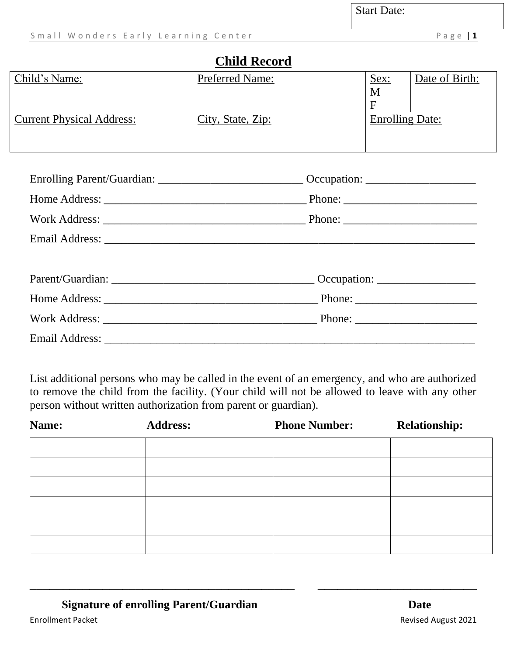### **Child Record**

| Child's Name:                    | <b>Preferred Name:</b> | <u>Sex:</u>            | Date of Birth: |
|----------------------------------|------------------------|------------------------|----------------|
|                                  |                        | M                      |                |
|                                  |                        | F                      |                |
| <b>Current Physical Address:</b> | City, State, Zip:      | <b>Enrolling Date:</b> |                |
|                                  |                        |                        |                |
|                                  |                        |                        |                |

| Enrolling Parent/Guardian: __________________________________Occupation: ___________________________ |  |
|------------------------------------------------------------------------------------------------------|--|
|                                                                                                      |  |
|                                                                                                      |  |
|                                                                                                      |  |
|                                                                                                      |  |
|                                                                                                      |  |
|                                                                                                      |  |
|                                                                                                      |  |
|                                                                                                      |  |

List additional persons who may be called in the event of an emergency, and who are authorized to remove the child from the facility. (Your child will not be allowed to leave with any other person without written authorization from parent or guardian).

| Name: | <b>Address:</b> | <b>Phone Number:</b> | <b>Relationship:</b> |
|-------|-----------------|----------------------|----------------------|
|       |                 |                      |                      |
|       |                 |                      |                      |
|       |                 |                      |                      |
|       |                 |                      |                      |
|       |                 |                      |                      |
|       |                 |                      |                      |

\_\_\_\_\_\_\_\_\_\_\_\_\_\_\_\_\_\_\_\_\_\_\_\_\_\_\_\_\_\_\_\_\_\_\_\_\_\_\_\_ \_\_\_\_\_\_\_\_\_\_\_\_\_\_\_\_\_\_\_\_\_\_\_\_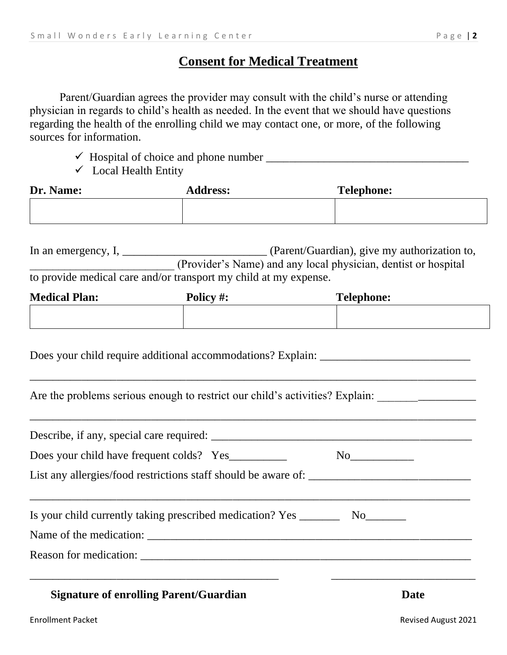#### **Consent for Medical Treatment**

Parent/Guardian agrees the provider may consult with the child's nurse or attending physician in regards to child's health as needed. In the event that we should have questions regarding the health of the enrolling child we may contact one, or more, of the following sources for information.

- ✓ Hospital of choice and phone number \_\_\_\_\_\_\_\_\_\_\_\_\_\_\_\_\_\_\_\_\_\_\_\_\_\_\_\_\_\_\_\_\_\_\_
- $\checkmark$  Local Health Entity

| Dr. Name: | <b>Address:</b> | <b>Telephone:</b> |
|-----------|-----------------|-------------------|
|           |                 |                   |
|           |                 |                   |

| In an emergency, I, | (Parent/Guardian), give my authorization to,                     |
|---------------------|------------------------------------------------------------------|
|                     | (Provider's Name) and any local physician, dentist or hospital   |
|                     | to provide medical care and/or transport my child at my expense. |

| <b>Medical Plan:</b> | Policy #: | <b>Telephone:</b> |
|----------------------|-----------|-------------------|
|                      |           |                   |

\_\_\_\_\_\_\_\_\_\_\_\_\_\_\_\_\_\_\_\_\_\_\_\_\_\_\_\_\_\_\_\_\_\_\_\_\_\_\_\_\_\_\_\_\_\_\_\_\_\_\_\_\_\_\_\_\_\_\_\_\_\_\_\_\_\_\_\_\_\_\_\_\_\_\_\_\_

\_\_\_\_\_\_\_\_\_\_\_\_\_\_\_\_\_\_\_\_\_\_\_\_\_\_\_\_\_\_\_\_\_\_\_\_\_\_\_\_\_\_\_\_\_\_\_\_\_\_\_\_\_\_\_\_\_\_\_\_\_\_\_\_\_\_\_\_\_\_\_\_\_\_\_\_\_

Does your child require additional accommodations? Explain:

Are the problems serious enough to restrict our child's activities? Explain: \_\_\_\_\_\_\_\_\_\_\_\_\_\_\_\_\_\_\_\_\_\_\_\_\_\_\_\_\_\_\_\_\_

| Does your child have frequent colds? Yes                                         |      |
|----------------------------------------------------------------------------------|------|
|                                                                                  |      |
| Is your child currently taking prescribed medication? Yes __________ No_________ |      |
|                                                                                  |      |
|                                                                                  |      |
| <b>Signature of enrolling Parent/Guardian</b>                                    | Date |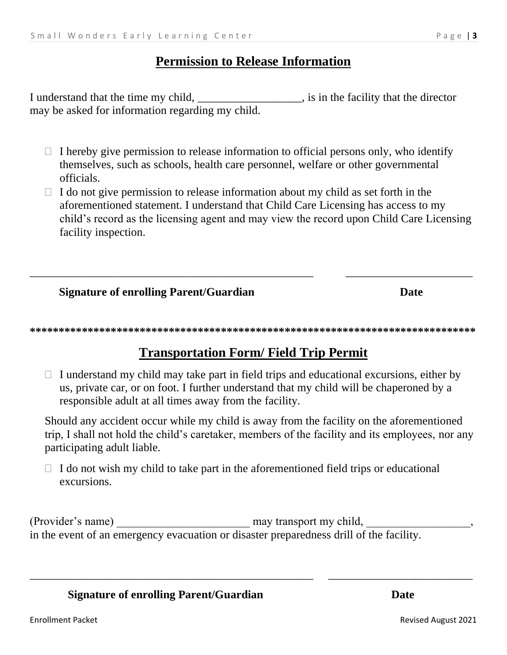#### **Permission to Release Information**

I understand that the time my child, \_\_\_\_\_\_ is in the facility that the director may be asked for information regarding my child.

- $\Box$  I hereby give permission to release information to official persons only, who identify themselves, such as schools, health care personnel, welfare or other governmental officials.
- $\Box$  I do not give permission to release information about my child as set forth in the aforementioned statement. I understand that Child Care Licensing has access to my child's record as the licensing agent and may view the record upon Child Care Licensing facility inspection.

**Signature of enrolling Parent/Guardian** 

### **Transportation Form/Field Trip Permit**

 $\Box$  I understand my child may take part in field trips and educational excursions, either by us, private car, or on foot. I further understand that my child will be chaperoned by a responsible adult at all times away from the facility.

Should any accident occur while my child is away from the facility on the aforementioned trip, I shall not hold the child's caretaker, members of the facility and its employees, nor any participating adult liable.

 $\Box$  I do not wish my child to take part in the aforementioned field trips or educational excursions.

(Provider's name) may transport my child, in the event of an emergency evacuation or disaster preparedness drill of the facility.

**Signature of enrolling Parent/Guardian** 

**Date** 

**Date**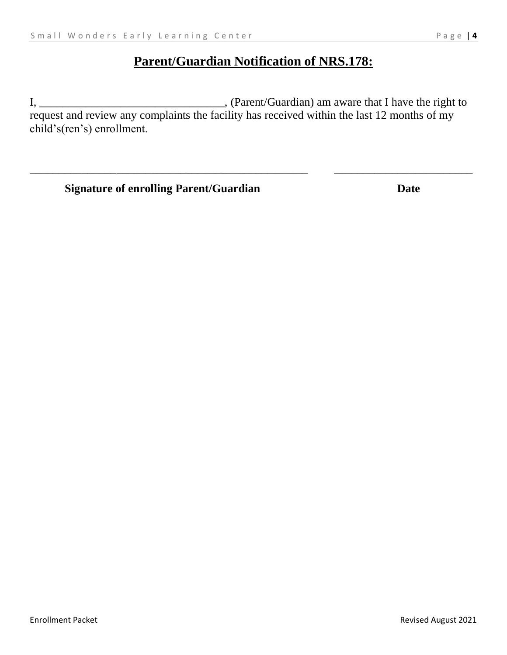## **Parent/Guardian Notification of NRS.178:**

I, \_\_\_\_\_\_\_\_\_\_\_\_\_\_\_\_\_\_\_\_\_\_\_\_\_\_\_\_\_\_\_\_, (Parent/Guardian) am aware that I have the right to request and review any complaints the facility has received within the last 12 months of my child's(ren's) enrollment.

\_\_\_\_\_\_\_\_\_\_\_\_\_\_\_\_\_\_\_\_\_\_\_\_\_\_\_\_\_\_\_\_\_\_\_\_\_\_\_\_\_\_\_\_\_\_\_\_ \_\_\_\_\_\_\_\_\_\_\_\_\_\_\_\_\_\_\_\_\_\_\_\_

**Signature of enrolling Parent/Guardian Date**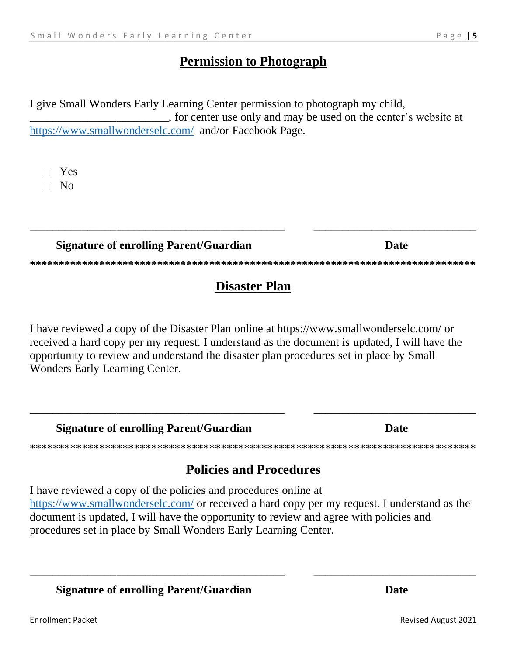### **Permission to Photograph**

I give Small Wonders Early Learning Center permission to photograph my child, , for center use only and may be used on the center's website at https://www.smallwonderselc.com/ and/or Facebook Page.

 $\Box$  Yes  $\Box$  No

**Signature of enrolling Parent/Guardian** 

## **Disaster Plan**

I have reviewed a copy of the Disaster Plan online at https://www.smallwonderselc.com/ or received a hard copy per my request. I understand as the document is updated, I will have the opportunity to review and understand the disaster plan procedures set in place by Small Wonders Early Learning Center.

**Signature of enrolling Parent/Guardian** 

## **Policies and Procedures**

I have reviewed a copy of the policies and procedures online at https://www.smallwonderselc.com/ or received a hard copy per my request. I understand as the document is updated, I will have the opportunity to review and agree with policies and procedures set in place by Small Wonders Early Learning Center.

**Signature of enrolling Parent/Guardian** 

**Date** 

**Date** 

**Date**